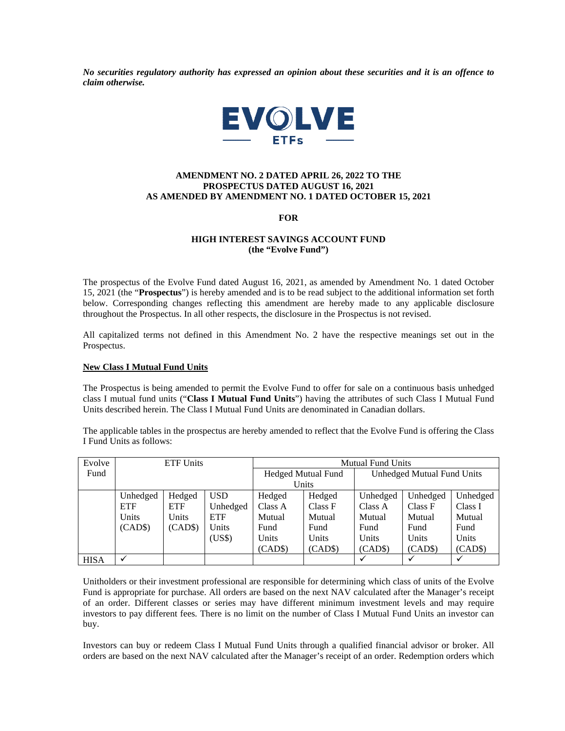*No securities regulatory authority has expressed an opinion about these securities and it is an offence to claim otherwise.* 



# **AMENDMENT NO. 2 DATED APRIL 26, 2022 TO THE PROSPECTUS DATED AUGUST 16, 2021 AS AMENDED BY AMENDMENT NO. 1 DATED OCTOBER 15, 2021**

**FOR** 

# **HIGH INTEREST SAVINGS ACCOUNT FUND (the "Evolve Fund")**

The prospectus of the Evolve Fund dated August 16, 2021, as amended by Amendment No. 1 dated October 15, 2021 (the "**Prospectus**") is hereby amended and is to be read subject to the additional information set forth below. Corresponding changes reflecting this amendment are hereby made to any applicable disclosure throughout the Prospectus. In all other respects, the disclosure in the Prospectus is not revised.

All capitalized terms not defined in this Amendment No. 2 have the respective meanings set out in the Prospectus.

## **New Class I Mutual Fund Units**

The Prospectus is being amended to permit the Evolve Fund to offer for sale on a continuous basis unhedged class I mutual fund units ("**Class I Mutual Fund Units**") having the attributes of such Class I Mutual Fund Units described herein. The Class I Mutual Fund Units are denominated in Canadian dollars.

The applicable tables in the prospectus are hereby amended to reflect that the Evolve Fund is offering the Class I Fund Units as follows:

| Evolve      | <b>ETF Units</b> |            |            | <b>Mutual Fund Units</b>  |         |                            |          |          |
|-------------|------------------|------------|------------|---------------------------|---------|----------------------------|----------|----------|
| Fund        |                  |            |            | <b>Hedged Mutual Fund</b> |         | Unhedged Mutual Fund Units |          |          |
|             |                  |            |            | Units                     |         |                            |          |          |
|             | Unhedged         | Hedged     | <b>USD</b> | Hedged                    | Hedged  | Unhedged                   | Unhedged | Unhedged |
|             | <b>ETF</b>       | <b>ETF</b> | Unhedged   | Class A                   | Class F | Class A                    | Class F  | Class I  |
|             | Units            | Units      | <b>ETF</b> | Mutual                    | Mutual  | Mutual                     | Mutual   | Mutual   |
|             | (CAD\$)          | (CAD\$)    | Units      | Fund                      | Fund    | Fund                       | Fund     | Fund     |
|             |                  |            | (US\$)     | Units                     | Units   | Units                      | Units    | Units    |
|             |                  |            |            | (CAD\$)                   | (CAD\$) | (CAD\$)                    | (CAD\$)  | (CAD\$)  |
| <b>HISA</b> |                  |            |            |                           |         |                            |          | ✓        |

Unitholders or their investment professional are responsible for determining which class of units of the Evolve Fund is appropriate for purchase. All orders are based on the next NAV calculated after the Manager's receipt of an order. Different classes or series may have different minimum investment levels and may require investors to pay different fees. There is no limit on the number of Class I Mutual Fund Units an investor can buy.

Investors can buy or redeem Class I Mutual Fund Units through a qualified financial advisor or broker. All orders are based on the next NAV calculated after the Manager's receipt of an order. Redemption orders which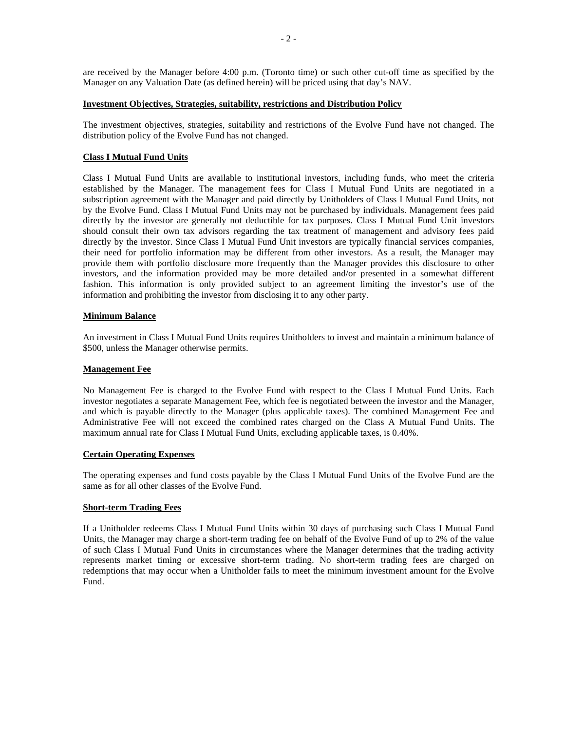are received by the Manager before 4:00 p.m. (Toronto time) or such other cut-off time as specified by the Manager on any Valuation Date (as defined herein) will be priced using that day's NAV.

#### **Investment Objectives, Strategies, suitability, restrictions and Distribution Policy**

The investment objectives, strategies, suitability and restrictions of the Evolve Fund have not changed. The distribution policy of the Evolve Fund has not changed.

## **Class I Mutual Fund Units**

Class I Mutual Fund Units are available to institutional investors, including funds, who meet the criteria established by the Manager. The management fees for Class I Mutual Fund Units are negotiated in a subscription agreement with the Manager and paid directly by Unitholders of Class I Mutual Fund Units, not by the Evolve Fund. Class I Mutual Fund Units may not be purchased by individuals. Management fees paid directly by the investor are generally not deductible for tax purposes. Class I Mutual Fund Unit investors should consult their own tax advisors regarding the tax treatment of management and advisory fees paid directly by the investor. Since Class I Mutual Fund Unit investors are typically financial services companies, their need for portfolio information may be different from other investors. As a result, the Manager may provide them with portfolio disclosure more frequently than the Manager provides this disclosure to other investors, and the information provided may be more detailed and/or presented in a somewhat different fashion. This information is only provided subject to an agreement limiting the investor's use of the information and prohibiting the investor from disclosing it to any other party.

## **Minimum Balance**

An investment in Class I Mutual Fund Units requires Unitholders to invest and maintain a minimum balance of \$500, unless the Manager otherwise permits.

#### **Management Fee**

No Management Fee is charged to the Evolve Fund with respect to the Class I Mutual Fund Units. Each investor negotiates a separate Management Fee, which fee is negotiated between the investor and the Manager, and which is payable directly to the Manager (plus applicable taxes). The combined Management Fee and Administrative Fee will not exceed the combined rates charged on the Class A Mutual Fund Units. The maximum annual rate for Class I Mutual Fund Units, excluding applicable taxes, is 0.40%.

## **Certain Operating Expenses**

The operating expenses and fund costs payable by the Class I Mutual Fund Units of the Evolve Fund are the same as for all other classes of the Evolve Fund.

## **Short-term Trading Fees**

If a Unitholder redeems Class I Mutual Fund Units within 30 days of purchasing such Class I Mutual Fund Units, the Manager may charge a short-term trading fee on behalf of the Evolve Fund of up to 2% of the value of such Class I Mutual Fund Units in circumstances where the Manager determines that the trading activity represents market timing or excessive short-term trading. No short-term trading fees are charged on redemptions that may occur when a Unitholder fails to meet the minimum investment amount for the Evolve Fund.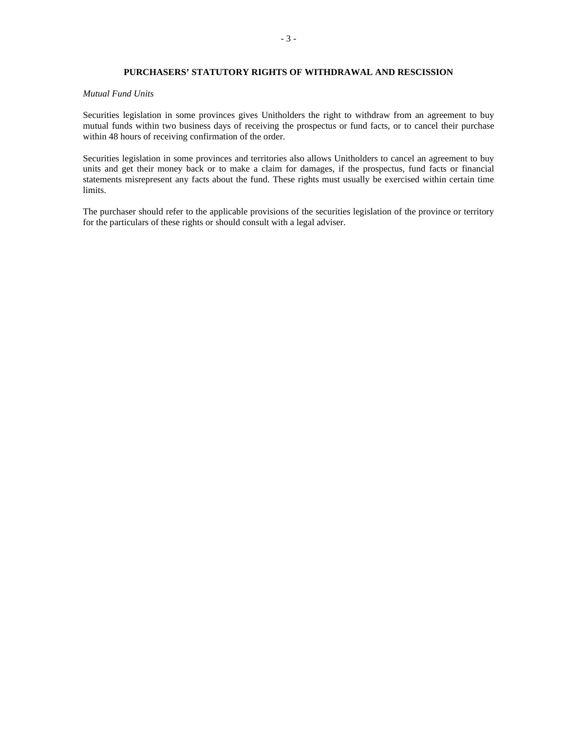# **PURCHASERS' STATUTORY RIGHTS OF WITHDRAWAL AND RESCISSION**

### *Mutual Fund Units*

Securities legislation in some provinces gives Unitholders the right to withdraw from an agreement to buy mutual funds within two business days of receiving the prospectus or fund facts, or to cancel their purchase within 48 hours of receiving confirmation of the order.

Securities legislation in some provinces and territories also allows Unitholders to cancel an agreement to buy units and get their money back or to make a claim for damages, if the prospectus, fund facts or financial statements misrepresent any facts about the fund. These rights must usually be exercised within certain time limits.

The purchaser should refer to the applicable provisions of the securities legislation of the province or territory for the particulars of these rights or should consult with a legal adviser.